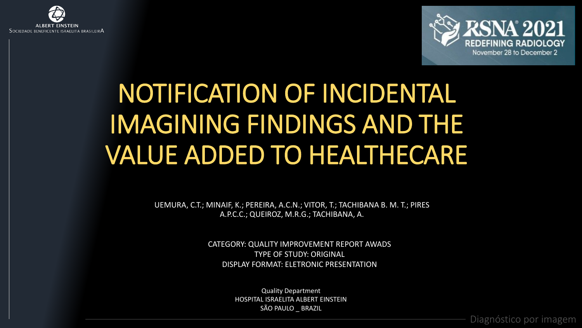



# NOTIFICATION OF INCIDENTAL IMAGINING FINDINGS AND THE VALUE ADDED TO HEALTHECARE

UEMURA, C.T.; MINAIF, K.; PEREIRA, A.C.N.; VITOR, T.; TACHIBANA B. M. T.; PIRES A.P.C.C.; QUEIROZ, M.R.G.; TACHIBANA, A.

> CATEGORY: QUALITY IMPROVEMENT REPORT AWADS TYPE OF STUDY: ORIGINAL DISPLAY FORMAT: ELETRONIC PRESENTATION

> > Quality Department HOSPITAL ISRAELITA ALBERT EINSTEIN SÃO PAULO BRAZIL

> > > Diagnóstico por imagem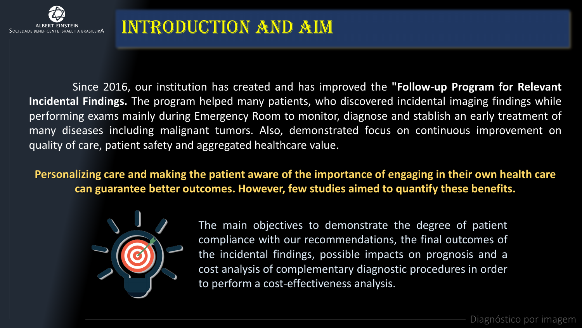

Since 2016, our institution has created and has improved the **"Follow-up Program for Relevant Incidental Findings.** The program helped many patients, who discovered incidental imaging findings while performing exams mainly during Emergency Room to monitor, diagnose and stablish an early treatment of many diseases including malignant tumors. Also, demonstrated focus on continuous improvement on quality of care, patient safety and aggregated healthcare value.

**Personalizing care and making the patient aware of the importance of engaging in their own health care can guarantee better outcomes. However, few studies aimed to quantify these benefits.**



The main objectives to demonstrate the degree of patient compliance with our recommendations, the final outcomes of the incidental findings, possible impacts on prognosis and a cost analysis of complementary diagnostic procedures in order to perform a cost-effectiveness analysis.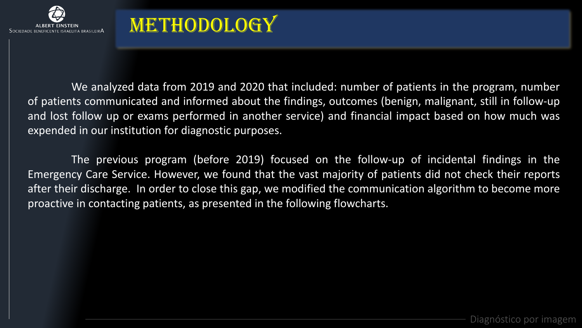

## **METHODOLOGY**

We analyzed data from 2019 and 2020 that included: number of patients in the program, number of patients communicated and informed about the findings, outcomes (benign, malignant, still in follow-up and lost follow up or exams performed in another service) and financial impact based on how much was expended in our institution for diagnostic purposes.

The previous program (before 2019) focused on the follow-up of incidental findings in the Emergency Care Service. However, we found that the vast majority of patients did not check their reports after their discharge. In order to close this gap, we modified the communication algorithm to become more proactive in contacting patients, as presented in the following flowcharts.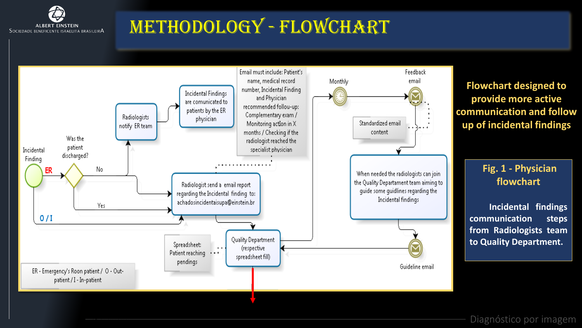

### Methodology - Flowchart

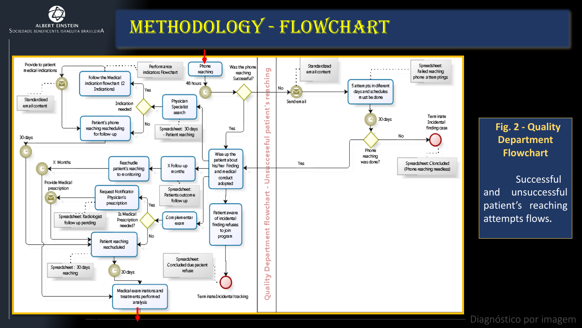

#### Methodology - Flowchart



#### **Fig. 2 - Quality Department Flowchart**

Successful and unsuccessful patient's reaching attempts flows**.**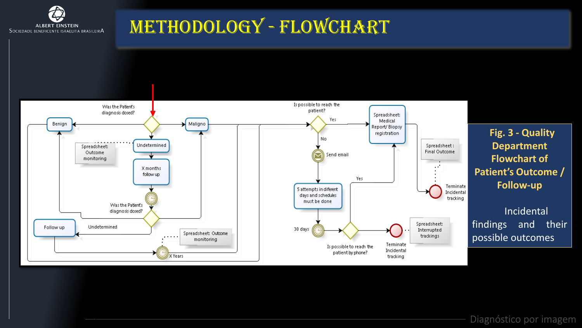

#### Methodology - Flowchart

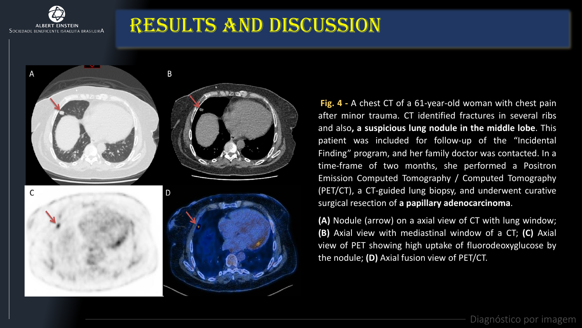

 $\overline{A}$ 

#### Results and Discussion

C



B

**Fig. 4 -** A chest CT of a 61-year-old woman with chest pain after minor trauma. CT identified fractures in several ribs and also**, a suspicious lung nodule in the middle lobe**. This patient was included for follow-up of the "Incidental Finding" program, and her family doctor was contacted. In a time-frame of two months, she performed a Positron Emission Computed Tomography / Computed Tomography (PET/CT), a CT-guided lung biopsy, and underwent curative surgical resection of **a papillary adenocarcinoma**.

**(A)** Nodule (arrow) on a axial view of CT with lung window; **(B)** Axial view with mediastinal window of a CT; **(C)** Axial view of PET showing high uptake of fluorodeoxyglucose by the nodule; **(D)** Axial fusion view of PET/CT.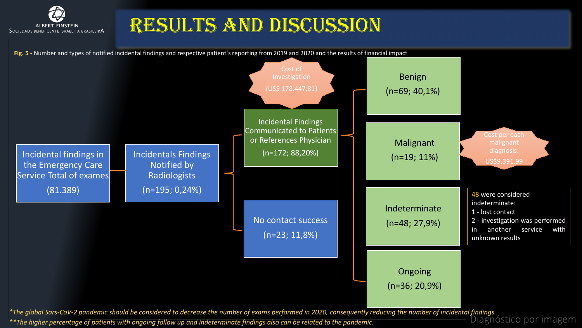

#### Results and Discussion

Diagnóstico por imagem Incidentals Findings Notified by Radiologists (n=195; 0,24%) Incidental Findings Communicated to Patients or References Physician (n=172; 88,20%) No contact success (n=23; 11,8%) Benign (n=69; 40,1%) Malignant (n=19; 11%) Indeterminate (n=48; 27,9%) Ongoing (n=36; 20,9%) 48 were considered indeterminate: 1 - lost contact 2 - investigation was performed in another service with unknown results *\*The global Sars-CoV-2 pandemic should be considered to decrease the number of exams performed in 2020, consequently reducing the number of incidental findings.* Incidental findings in the Emergency Care Service Total of exames (81.389) **Fig. 5 -** Number and types of notified incidental findings and respective patient's reporting from 2019 and 2020 and the results of financial impact Cost per each malignant diagnosis: US\$9,391.99 Cost of (US\$ 178.447,81)

*\*\*The higher percentage of patients with ongoing follow up and indeterminate findings also can be related to the pandemic.*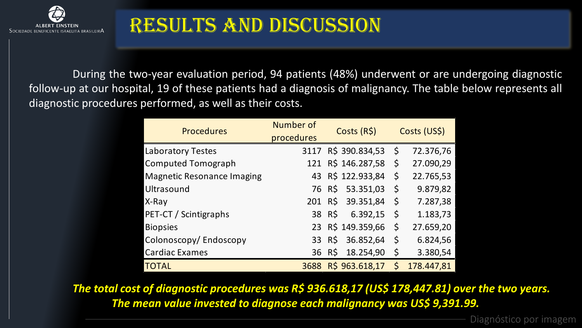

#### Results and Discussion

During the two-year evaluation period, 94 patients (48%) underwent or are undergoing diagnostic follow-up at our hospital, 19 of these patients had a diagnosis of malignancy. The table below represents all diagnostic procedures performed, as well as their costs.

| <b>Procedures</b>                 | Number of  | Costs (R\$)         | Costs (US\$) |            |
|-----------------------------------|------------|---------------------|--------------|------------|
|                                   | procedures |                     |              |            |
| <b>Laboratory Testes</b>          |            | 3117 R\$ 390.834,53 | - \$         | 72.376,76  |
| <b>Computed Tomograph</b>         | 121        | R\$ 146.287,58      | \$           | 27.090,29  |
| <b>Magnetic Resonance Imaging</b> |            | 43 R\$ 122.933,84   | \$           | 22.765,53  |
| Ultrasound                        |            | 76 R\$ 53.351,03    | \$           | 9.879,82   |
| X-Ray                             |            | 201 R\$ 39.351,84   | \$           | 7.287,38   |
| PET-CT / Scintigraphs             |            | 38 R\$<br>6.392,15  | \$           | 1.183,73   |
| <b>Biopsies</b>                   |            | 23 R\$ 149.359,66   | \$           | 27.659,20  |
| Colonoscopy/Endoscopy             |            | 33 R\$ 36.852,64    | \$           | 6.824,56   |
| <b>Cardiac Exames</b>             |            | 18.254,90<br>36 R\$ | $\zeta$      | 3.380,54   |
| <b>TOTAL</b>                      | 3688       | R\$ 963.618,17      | $\zeta$      | 178.447,81 |

*The total cost of diagnostic procedures was R\$ 936.618,17 (US\$ 178,447.81) over the two years. The mean value invested to diagnose each malignancy was US\$ 9,391.99.*